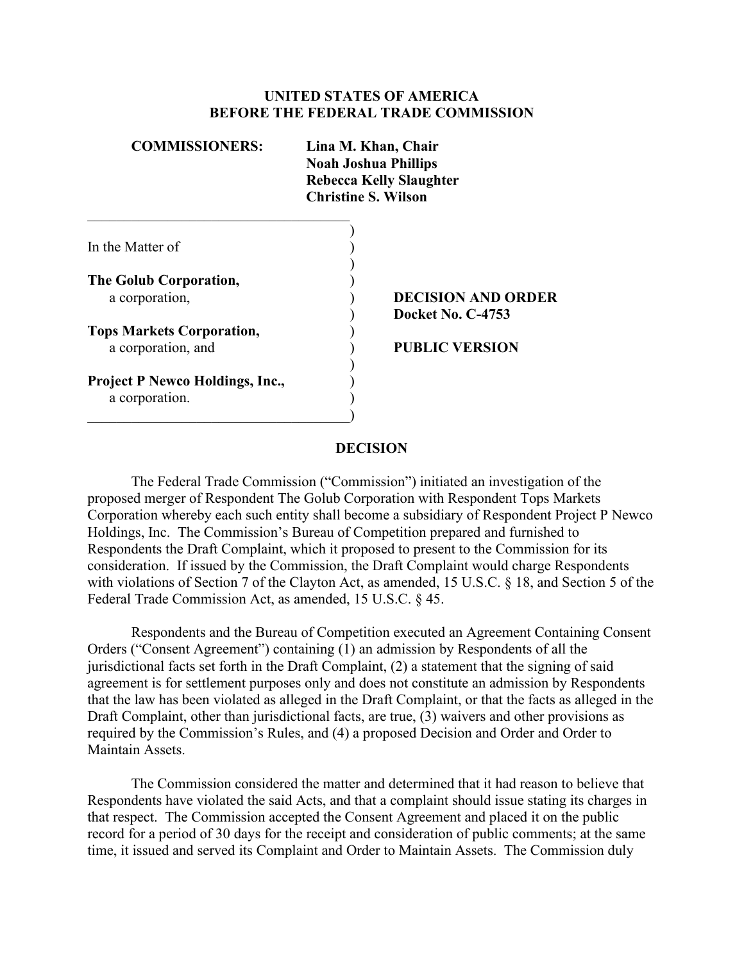#### **UNITED STATES OF AMERICA BEFORE THE FEDERAL TRADE COMMISSION**

| <b>COMMISSIONERS:</b>                  | Lina M. Khan, Chair<br><b>Noah Joshua Phillips</b><br><b>Rebecca Kelly Slaughter</b><br><b>Christine S. Wilson</b> |  |  |
|----------------------------------------|--------------------------------------------------------------------------------------------------------------------|--|--|
|                                        |                                                                                                                    |  |  |
| In the Matter of                       |                                                                                                                    |  |  |
| The Golub Corporation,                 |                                                                                                                    |  |  |
| a corporation,                         | <b>DECISION AND ORDER</b><br><b>Docket No. C-4753</b>                                                              |  |  |
| <b>Tops Markets Corporation,</b>       |                                                                                                                    |  |  |
| a corporation, and                     | <b>PUBLIC VERSION</b>                                                                                              |  |  |
| <b>Project P Newco Holdings, Inc.,</b> |                                                                                                                    |  |  |
| a corporation.                         |                                                                                                                    |  |  |

#### **DECISION**

 proposed merger of Respondent The Golub Corporation with Respondent Tops Markets Holdings, Inc. The Commission's Bureau of Competition prepared and furnished to The Federal Trade Commission ("Commission") initiated an investigation of the Corporation whereby each such entity shall become a subsidiary of Respondent Project P Newco Respondents the Draft Complaint, which it proposed to present to the Commission for its consideration. If issued by the Commission, the Draft Complaint would charge Respondents with violations of Section 7 of the Clayton Act, as amended, 15 U.S.C. § 18, and Section 5 of the Federal Trade Commission Act, as amended, 15 U.S.C. § 45.

 Orders ("Consent Agreement") containing (1) an admission by Respondents of all the Respondents and the Bureau of Competition executed an Agreement Containing Consent jurisdictional facts set forth in the Draft Complaint, (2) a statement that the signing of said agreement is for settlement purposes only and does not constitute an admission by Respondents that the law has been violated as alleged in the Draft Complaint, or that the facts as alleged in the Draft Complaint, other than jurisdictional facts, are true, (3) waivers and other provisions as required by the Commission's Rules, and (4) a proposed Decision and Order and Order to Maintain Assets.

The Commission considered the matter and determined that it had reason to believe that Respondents have violated the said Acts, and that a complaint should issue stating its charges in that respect. The Commission accepted the Consent Agreement and placed it on the public record for a period of 30 days for the receipt and consideration of public comments; at the same time, it issued and served its Complaint and Order to Maintain Assets. The Commission duly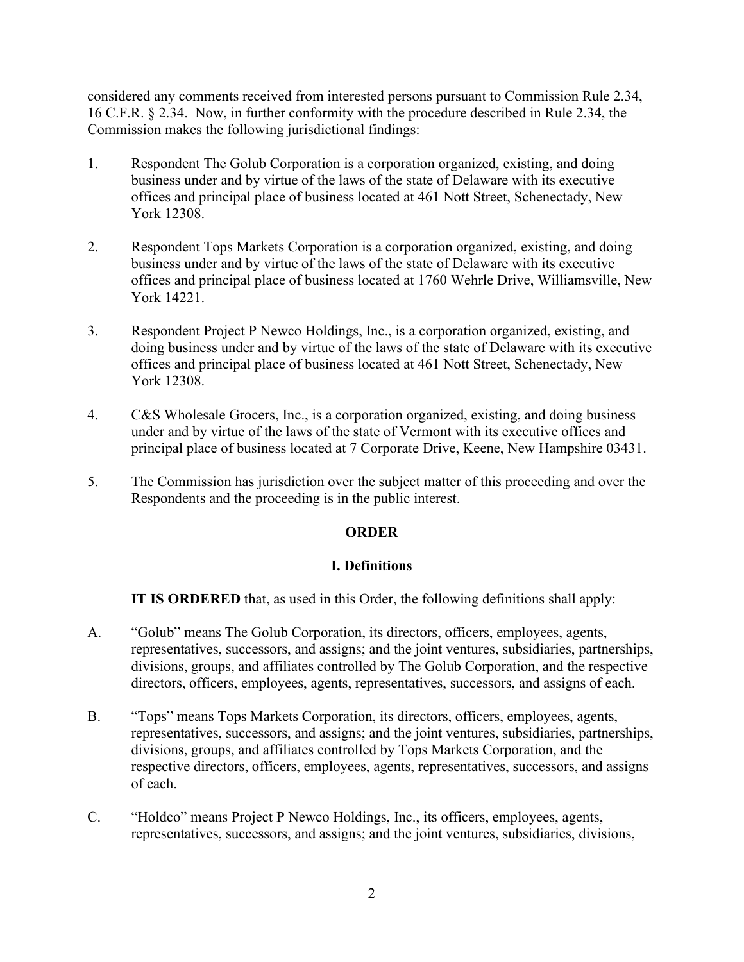considered any comments received from interested persons pursuant to Commission Rule 2.34, 16 C.F.R. § 2.34. Now, in further conformity with the procedure described in Rule 2.34, the Commission makes the following jurisdictional findings:

- 1. Respondent The Golub Corporation is a corporation organized, existing, and doing business under and by virtue of the laws of the state of Delaware with its executive offices and principal place of business located at 461 Nott Street, Schenectady, New York 12308.
- 2. Respondent Tops Markets Corporation is a corporation organized, existing, and doing business under and by virtue of the laws of the state of Delaware with its executive offices and principal place of business located at 1760 Wehrle Drive, Williamsville, New York 14221.
- 3. Respondent Project P Newco Holdings, Inc., is a corporation organized, existing, and doing business under and by virtue of the laws of the state of Delaware with its executive offices and principal place of business located at 461 Nott Street, Schenectady, New York 12308.
- under and by virtue of the laws of the state of Vermont with its executive offices and 4. C&S Wholesale Grocers, Inc., is a corporation organized, existing, and doing business principal place of business located at 7 Corporate Drive, Keene, New Hampshire 03431.
- 5. The Commission has jurisdiction over the subject matter of this proceeding and over the Respondents and the proceeding is in the public interest.

## **ORDER**

## **I. Definitions**

**IT IS ORDERED** that, as used in this Order, the following definitions shall apply:

- divisions, groups, and affiliates controlled by The Golub Corporation, and the respective A. "Golub" means The Golub Corporation, its directors, officers, employees, agents, representatives, successors, and assigns; and the joint ventures, subsidiaries, partnerships, directors, officers, employees, agents, representatives, successors, and assigns of each.
- B. "Tops" means Tops Markets Corporation, its directors, officers, employees, agents, representatives, successors, and assigns; and the joint ventures, subsidiaries, partnerships, divisions, groups, and affiliates controlled by Tops Markets Corporation, and the respective directors, officers, employees, agents, representatives, successors, and assigns of each.
- C. "Holdco" means Project P Newco Holdings, Inc., its officers, employees, agents, representatives, successors, and assigns; and the joint ventures, subsidiaries, divisions,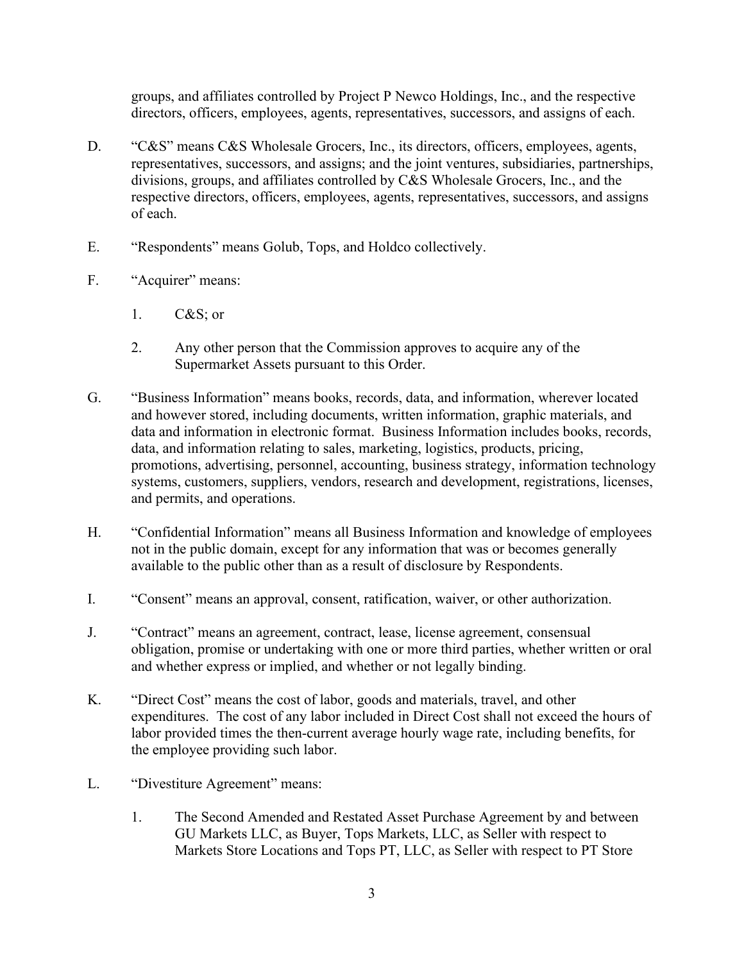groups, and affiliates controlled by Project P Newco Holdings, Inc., and the respective directors, officers, employees, agents, representatives, successors, and assigns of each.

- D. "C&S" means C&S Wholesale Grocers, Inc., its directors, officers, employees, agents, representatives, successors, and assigns; and the joint ventures, subsidiaries, partnerships, divisions, groups, and affiliates controlled by C&S Wholesale Grocers, Inc., and the respective directors, officers, employees, agents, representatives, successors, and assigns of each.
- E. "Respondents" means Golub, Tops, and Holdco collectively.
- F. "Acquirer" means:
	- 1. C&S; or
	- 2. Any other person that the Commission approves to acquire any of the Supermarket Assets pursuant to this Order.
- data and information in electronic format. Business Information includes books, records, G. "Business Information" means books, records, data, and information, wherever located and however stored, including documents, written information, graphic materials, and data, and information relating to sales, marketing, logistics, products, pricing, promotions, advertising, personnel, accounting, business strategy, information technology systems, customers, suppliers, vendors, research and development, registrations, licenses, and permits, and operations.
- H. "Confidential Information" means all Business Information and knowledge of employees not in the public domain, except for any information that was or becomes generally available to the public other than as a result of disclosure by Respondents.
- I. "Consent" means an approval, consent, ratification, waiver, or other authorization.
- J. "Contract" means an agreement, contract, lease, license agreement, consensual obligation, promise or undertaking with one or more third parties, whether written or oral and whether express or implied, and whether or not legally binding.
- K. "Direct Cost" means the cost of labor, goods and materials, travel, and other expenditures. The cost of any labor included in Direct Cost shall not exceed the hours of labor provided times the then-current average hourly wage rate, including benefits, for the employee providing such labor.
- L. "Divestiture Agreement" means:
	- 1. The Second Amended and Restated Asset Purchase Agreement by and between GU Markets LLC, as Buyer, Tops Markets, LLC, as Seller with respect to Markets Store Locations and Tops PT, LLC, as Seller with respect to PT Store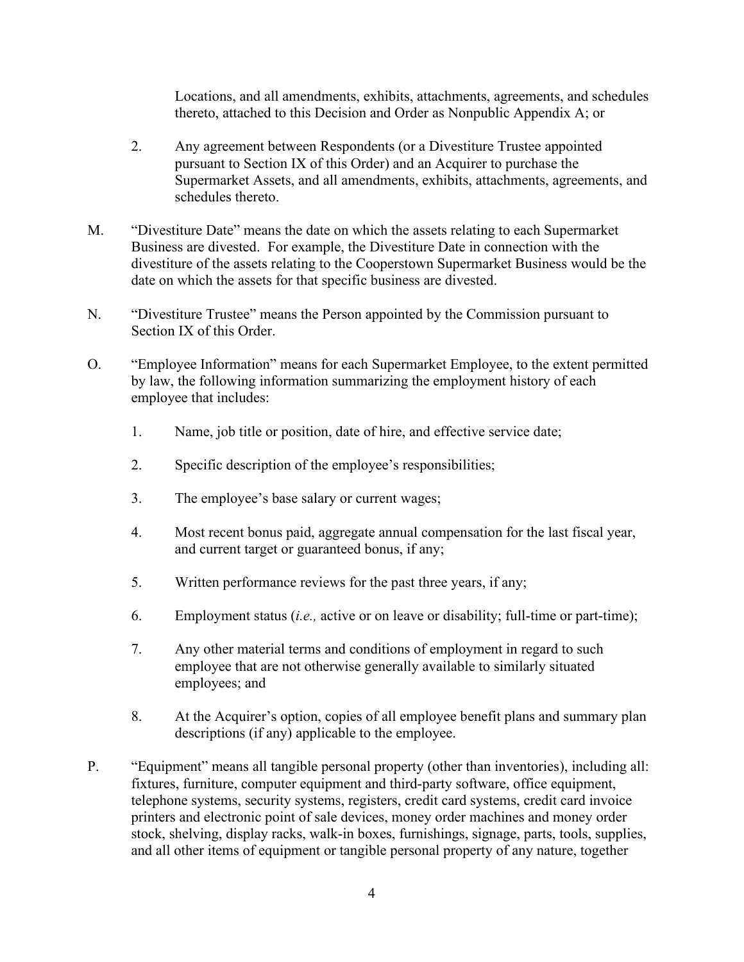Locations, and all amendments, exhibits, attachments, agreements, and schedules thereto, attached to this Decision and Order as Nonpublic Appendix A; or

- pursuant to Section IX of this Order) and an Acquirer to purchase the 2. Any agreement between Respondents (or a Divestiture Trustee appointed Supermarket Assets, and all amendments, exhibits, attachments, agreements, and schedules thereto.
- Business are divested. For example, the Divestiture Date in connection with the date on which the assets for that specific business are divested. M. "Divestiture Date" means the date on which the assets relating to each Supermarket divestiture of the assets relating to the Cooperstown Supermarket Business would be the
- Section IX of this Order. N. "Divestiture Trustee" means the Person appointed by the Commission pursuant to
- O. "Employee Information" means for each Supermarket Employee, to the extent permitted by law, the following information summarizing the employment history of each employee that includes:
	- 1. Name, job title or position, date of hire, and effective service date;
	- 2. Specific description of the employee's responsibilities;
	- 3. The employee's base salary or current wages;
	- 4. Most recent bonus paid, aggregate annual compensation for the last fiscal year, and current target or guaranteed bonus, if any;
	- 5. Written performance reviews for the past three years, if any;
	- 6. Employment status (*i.e.,* active or on leave or disability; full-time or part-time);
	- 7. Any other material terms and conditions of employment in regard to such employee that are not otherwise generally available to similarly situated employees; and
	- 8. At the Acquirer's option, copies of all employee benefit plans and summary plan descriptions (if any) applicable to the employee.
- and all other items of equipment or tangible personal property of any nature, together P. "Equipment" means all tangible personal property (other than inventories), including all: fixtures, furniture, computer equipment and third-party software, office equipment, telephone systems, security systems, registers, credit card systems, credit card invoice printers and electronic point of sale devices, money order machines and money order stock, shelving, display racks, walk-in boxes, furnishings, signage, parts, tools, supplies,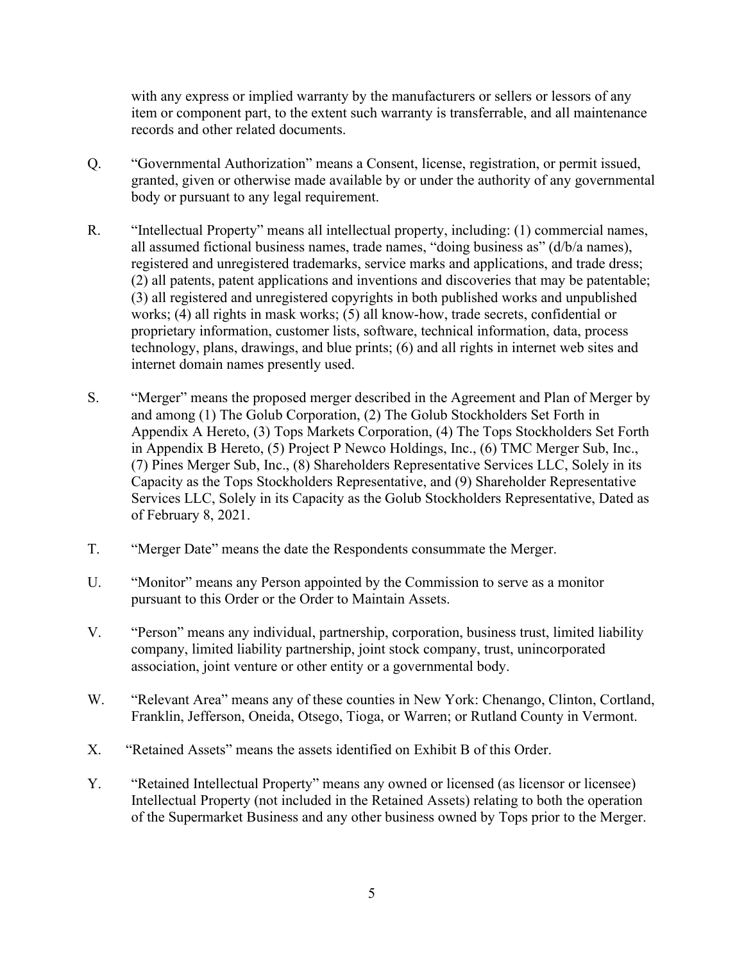records and other related documents. with any express or implied warranty by the manufacturers or sellers or lessors of any item or component part, to the extent such warranty is transferrable, and all maintenance

- Q. "Governmental Authorization" means a Consent, license, registration, or permit issued, granted, given or otherwise made available by or under the authority of any governmental body or pursuant to any legal requirement.
- R. "Intellectual Property" means all intellectual property, including: (1) commercial names, all assumed fictional business names, trade names, "doing business as" (d/b/a names), registered and unregistered trademarks, service marks and applications, and trade dress; (2) all patents, patent applications and inventions and discoveries that may be patentable; (3) all registered and unregistered copyrights in both published works and unpublished works; (4) all rights in mask works; (5) all know-how, trade secrets, confidential or proprietary information, customer lists, software, technical information, data, process technology, plans, drawings, and blue prints; (6) and all rights in internet web sites and internet domain names presently used.
- S. "Merger" means the proposed merger described in the Agreement and Plan of Merger by and among (1) The Golub Corporation, (2) The Golub Stockholders Set Forth in Appendix A Hereto, (3) Tops Markets Corporation, (4) The Tops Stockholders Set Forth in Appendix B Hereto, (5) Project P Newco Holdings, Inc., (6) TMC Merger Sub, Inc., (7) Pines Merger Sub, Inc., (8) Shareholders Representative Services LLC, Solely in its Capacity as the Tops Stockholders Representative, and (9) Shareholder Representative Services LLC, Solely in its Capacity as the Golub Stockholders Representative, Dated as of February 8, 2021.
- T. "Merger Date" means the date the Respondents consummate the Merger.
- pursuant to this Order or the Order to Maintain Assets. U. "Monitor" means any Person appointed by the Commission to serve as a monitor
- V. "Person" means any individual, partnership, corporation, business trust, limited liability company, limited liability partnership, joint stock company, trust, unincorporated association, joint venture or other entity or a governmental body.
- Franklin, Jefferson, Oneida, Otsego, Tioga, or Warren; or Rutland County in Vermont. X. "Retained Assets" means the assets identified on Exhibit B of this Order. W. "Relevant Area" means any of these counties in New York: Chenango, Clinton, Cortland,
- 
- Y. "Retained Intellectual Property" means any owned or licensed (as licensor or licensee) Intellectual Property (not included in the Retained Assets) relating to both the operation of the Supermarket Business and any other business owned by Tops prior to the Merger.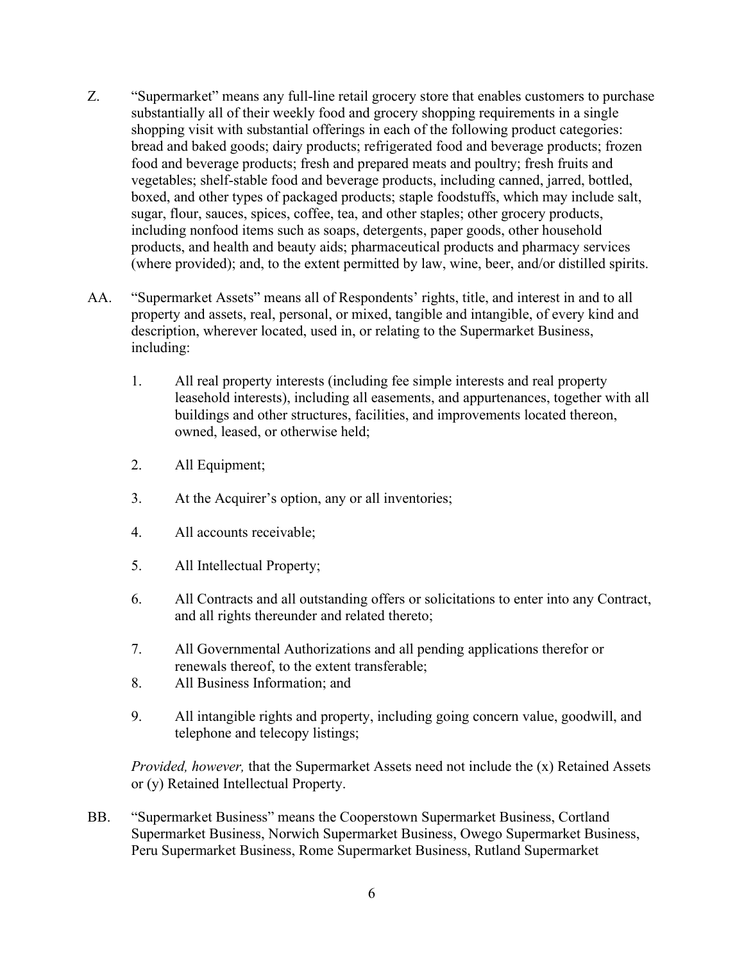- Z. "Supermarket" means any full-line retail grocery store that enables customers to purchase substantially all of their weekly food and grocery shopping requirements in a single shopping visit with substantial offerings in each of the following product categories: bread and baked goods; dairy products; refrigerated food and beverage products; frozen food and beverage products; fresh and prepared meats and poultry; fresh fruits and vegetables; shelf-stable food and beverage products, including canned, jarred, bottled, boxed, and other types of packaged products; staple foodstuffs, which may include salt, sugar, flour, sauces, spices, coffee, tea, and other staples; other grocery products, including nonfood items such as soaps, detergents, paper goods, other household products, and health and beauty aids; pharmaceutical products and pharmacy services (where provided); and, to the extent permitted by law, wine, beer, and/or distilled spirits.
- AA. "Supermarket Assets" means all of Respondents' rights, title, and interest in and to all property and assets, real, personal, or mixed, tangible and intangible, of every kind and description, wherever located, used in, or relating to the Supermarket Business, including:
	- 1. All real property interests (including fee simple interests and real property leasehold interests), including all easements, and appurtenances, together with all buildings and other structures, facilities, and improvements located thereon, owned, leased, or otherwise held;
	- 2. All Equipment;
	- 3. At the Acquirer's option, any or all inventories;
	- 4. All accounts receivable;
	- 5. All Intellectual Property;
	- 6. All Contracts and all outstanding offers or solicitations to enter into any Contract, and all rights thereunder and related thereto;
	- 7. All Governmental Authorizations and all pending applications therefor or renewals thereof, to the extent transferable;
	- 8. All Business Information; and
	- 9. All intangible rights and property, including going concern value, goodwill, and telephone and telecopy listings;

*Provided, however,* that the Supermarket Assets need not include the (x) Retained Assets or (y) Retained Intellectual Property.

BB. "Supermarket Business" means the Cooperstown Supermarket Business, Cortland Supermarket Business, Norwich Supermarket Business, Owego Supermarket Business, Peru Supermarket Business, Rome Supermarket Business, Rutland Supermarket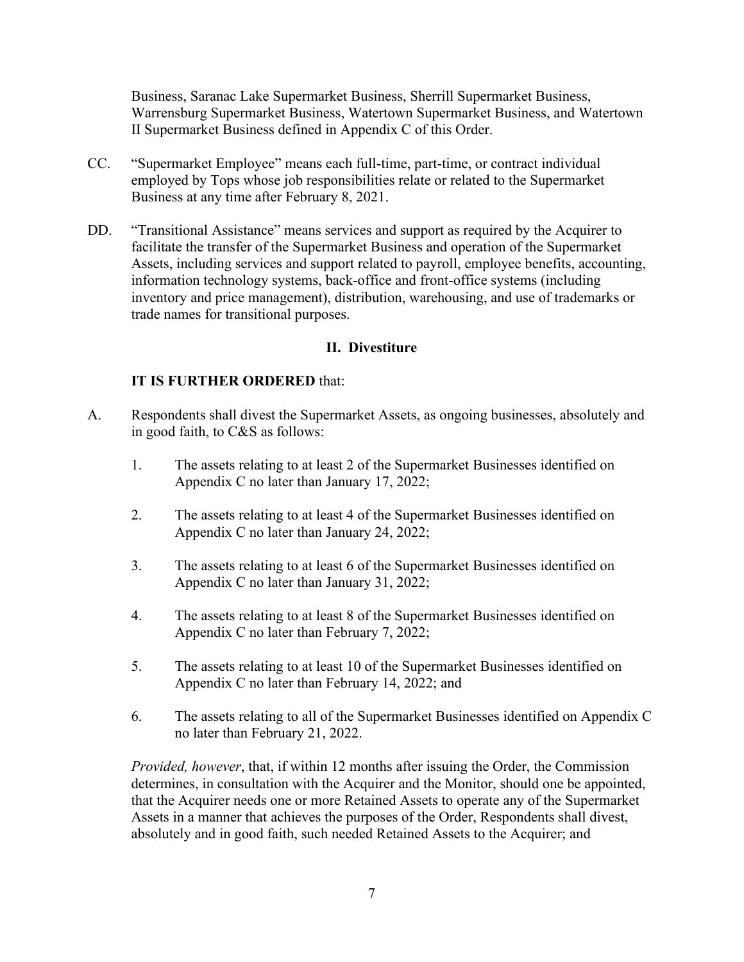Business, Saranac Lake Supermarket Business, Sherrill Supermarket Business, Warrensburg Supermarket Business, Watertown Supermarket Business, and Watertown II Supermarket Business defined in Appendix C of this Order.

- employed by Tops whose job responsibilities relate or related to the Supermarket CC. "Supermarket Employee" means each full-time, part-time, or contract individual Business at any time after February 8, 2021.
- DD. "Transitional Assistance" means services and support as required by the Acquirer to facilitate the transfer of the Supermarket Business and operation of the Supermarket Assets, including services and support related to payroll, employee benefits, accounting, information technology systems, back-office and front-office systems (including inventory and price management), distribution, warehousing, and use of trademarks or trade names for transitional purposes.

### **II. Divestiture**

#### **IT IS FURTHER ORDERED** that:

- A. Respondents shall divest the Supermarket Assets, as ongoing businesses, absolutely and in good faith, to C&S as follows:
	- 1. The assets relating to at least 2 of the Supermarket Businesses identified on Appendix C no later than January 17, 2022;
	- 2. The assets relating to at least 4 of the Supermarket Businesses identified on Appendix C no later than January 24, 2022;
	- 3. The assets relating to at least 6 of the Supermarket Businesses identified on Appendix C no later than January 31, 2022;
	- 4. The assets relating to at least 8 of the Supermarket Businesses identified on Appendix C no later than February 7, 2022;
	- 5. The assets relating to at least 10 of the Supermarket Businesses identified on Appendix C no later than February 14, 2022; and
	- 6. The assets relating to all of the Supermarket Businesses identified on Appendix C no later than February 21, 2022.

 that the Acquirer needs one or more Retained Assets to operate any of the Supermarket absolutely and in good faith, such needed Retained Assets to the Acquirer; and *Provided, however*, that, if within 12 months after issuing the Order, the Commission determines, in consultation with the Acquirer and the Monitor, should one be appointed, Assets in a manner that achieves the purposes of the Order, Respondents shall divest,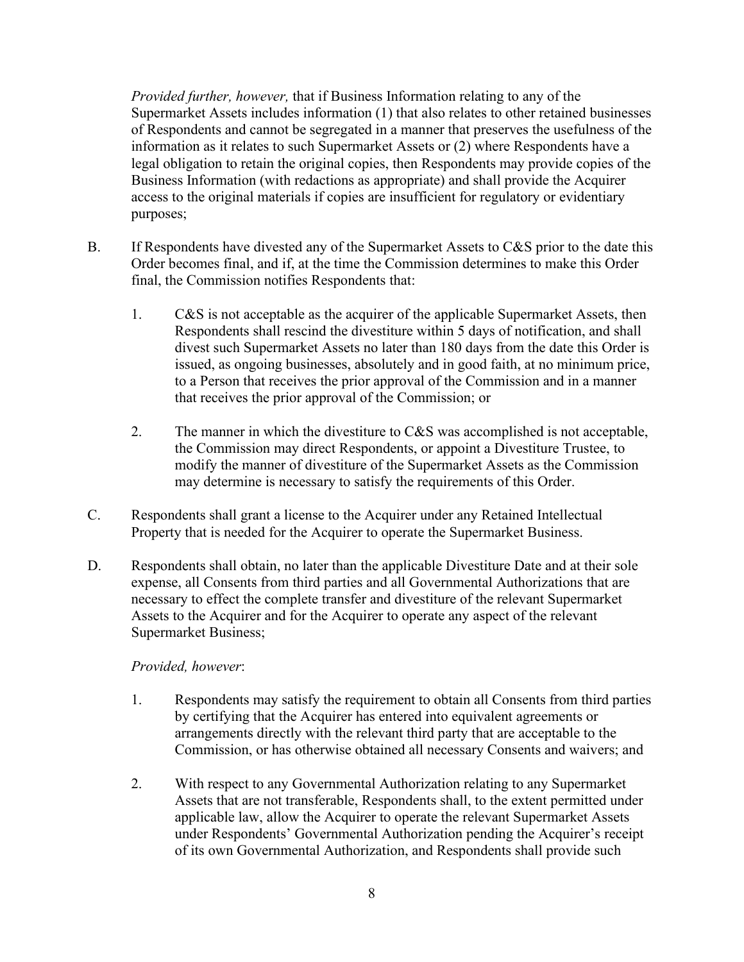information as it relates to such Supermarket Assets or (2) where Respondents have a access to the original materials if copies are insufficient for regulatory or evidentiary *Provided further, however,* that if Business Information relating to any of the Supermarket Assets includes information (1) that also relates to other retained businesses of Respondents and cannot be segregated in a manner that preserves the usefulness of the legal obligation to retain the original copies, then Respondents may provide copies of the Business Information (with redactions as appropriate) and shall provide the Acquirer purposes;

- final, the Commission notifies Respondents that: B. If Respondents have divested any of the Supermarket Assets to C&S prior to the date this Order becomes final, and if, at the time the Commission determines to make this Order
	- 1. C&S is not acceptable as the acquirer of the applicable Supermarket Assets, then Respondents shall rescind the divestiture within 5 days of notification, and shall divest such Supermarket Assets no later than 180 days from the date this Order is issued, as ongoing businesses, absolutely and in good faith, at no minimum price, to a Person that receives the prior approval of the Commission and in a manner that receives the prior approval of the Commission; or
	- 2. The manner in which the divestiture to  $C&S$  was accomplished is not acceptable, the Commission may direct Respondents, or appoint a Divestiture Trustee, to may determine is necessary to satisfy the requirements of this Order. modify the manner of divestiture of the Supermarket Assets as the Commission
- may determine is necessary to satisfy the requirements of this Order.<br>C. Respondents shall grant a license to the Acquirer under any Retained Intellectual Property that is needed for the Acquirer to operate the Supermarket Business.
- necessary to effect the complete transfer and divestiture of the relevant Supermarket D. Respondents shall obtain, no later than the applicable Divestiture Date and at their sole expense, all Consents from third parties and all Governmental Authorizations that are Assets to the Acquirer and for the Acquirer to operate any aspect of the relevant Supermarket Business;

#### *Provided, however*:

- Commission, or has otherwise obtained all necessary Consents and waivers; and 1. Respondents may satisfy the requirement to obtain all Consents from third parties by certifying that the Acquirer has entered into equivalent agreements or arrangements directly with the relevant third party that are acceptable to the
- 2. With respect to any Governmental Authorization relating to any Supermarket Assets that are not transferable, Respondents shall, to the extent permitted under applicable law, allow the Acquirer to operate the relevant Supermarket Assets under Respondents' Governmental Authorization pending the Acquirer's receipt of its own Governmental Authorization, and Respondents shall provide such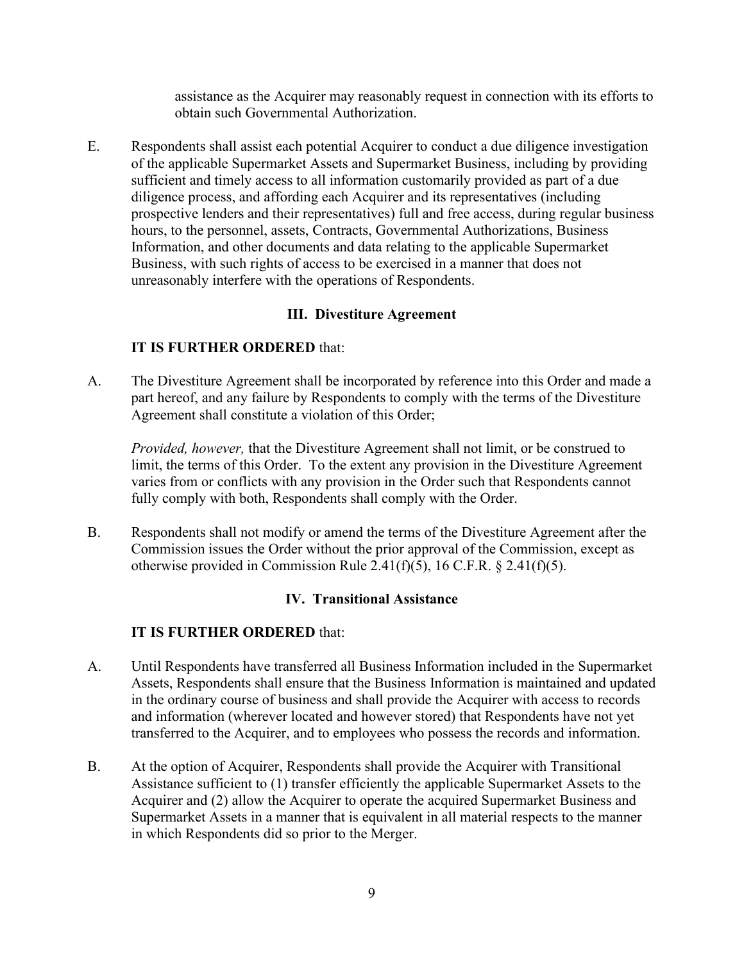assistance as the Acquirer may reasonably request in connection with its efforts to obtain such Governmental Authorization.

 Information, and other documents and data relating to the applicable Supermarket E. Respondents shall assist each potential Acquirer to conduct a due diligence investigation of the applicable Supermarket Assets and Supermarket Business, including by providing sufficient and timely access to all information customarily provided as part of a due diligence process, and affording each Acquirer and its representatives (including prospective lenders and their representatives) full and free access, during regular business hours, to the personnel, assets, Contracts, Governmental Authorizations, Business Business, with such rights of access to be exercised in a manner that does not unreasonably interfere with the operations of Respondents.

## **III. Divestiture Agreement**

## **IT IS FURTHER ORDERED** that:

 A. The Divestiture Agreement shall be incorporated by reference into this Order and made a Agreement shall constitute a violation of this Order; part hereof, and any failure by Respondents to comply with the terms of the Divestiture

 varies from or conflicts with any provision in the Order such that Respondents cannot *Provided, however,* that the Divestiture Agreement shall not limit, or be construed to limit, the terms of this Order. To the extent any provision in the Divestiture Agreement fully comply with both, Respondents shall comply with the Order.

 otherwise provided in Commission Rule 2.41(f)(5), 16 C.F.R. § 2.41(f)(5). B. Respondents shall not modify or amend the terms of the Divestiture Agreement after the Commission issues the Order without the prior approval of the Commission, except as

## **IV. Transitional Assistance**

- A. Until Respondents have transferred all Business Information included in the Supermarket Assets, Respondents shall ensure that the Business Information is maintained and updated in the ordinary course of business and shall provide the Acquirer with access to records and information (wherever located and however stored) that Respondents have not yet transferred to the Acquirer, and to employees who possess the records and information.
- Acquirer and (2) allow the Acquirer to operate the acquired Supermarket Business and in which Respondents did so prior to the Merger. B. At the option of Acquirer, Respondents shall provide the Acquirer with Transitional Assistance sufficient to (1) transfer efficiently the applicable Supermarket Assets to the Supermarket Assets in a manner that is equivalent in all material respects to the manner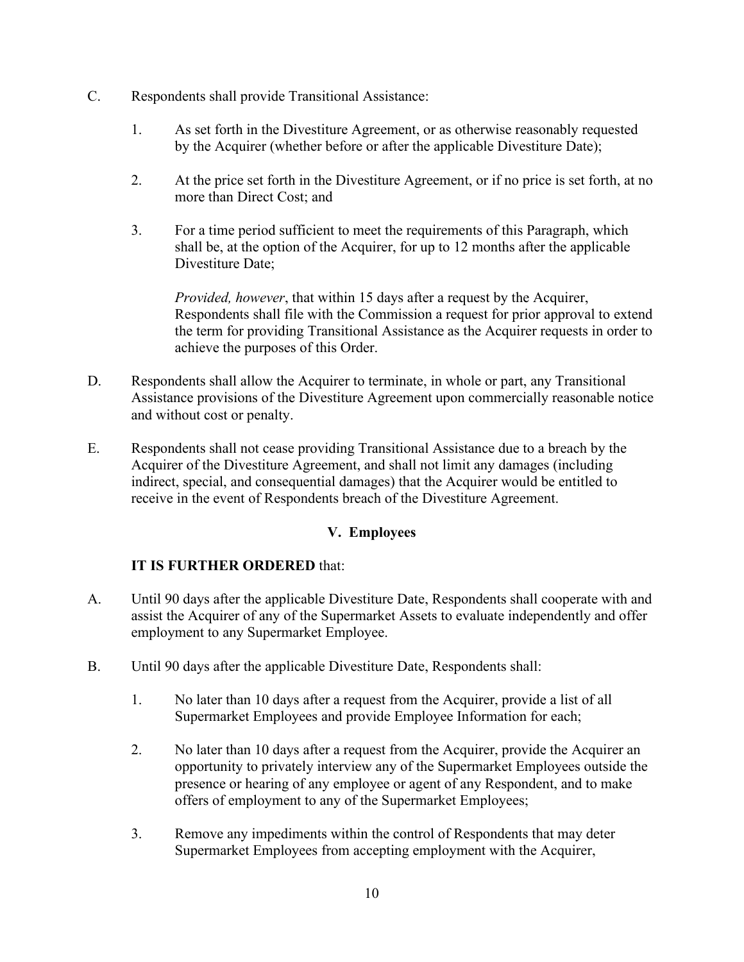- C. Respondents shall provide Transitional Assistance:
	- 1. As set forth in the Divestiture Agreement, or as otherwise reasonably requested by the Acquirer (whether before or after the applicable Divestiture Date);
	- more than Direct Cost; and 2. At the price set forth in the Divestiture Agreement, or if no price is set forth, at no
	- 3. For a time period sufficient to meet the requirements of this Paragraph, which shall be, at the option of the Acquirer, for up to 12 months after the applicable Divestiture Date;

*Provided, however*, that within 15 days after a request by the Acquirer, Respondents shall file with the Commission a request for prior approval to extend the term for providing Transitional Assistance as the Acquirer requests in order to achieve the purposes of this Order.

- D. Respondents shall allow the Acquirer to terminate, in whole or part, any Transitional Assistance provisions of the Divestiture Agreement upon commercially reasonable notice and without cost or penalty.
- E. Respondents shall not cease providing Transitional Assistance due to a breach by the Acquirer of the Divestiture Agreement, and shall not limit any damages (including indirect, special, and consequential damages) that the Acquirer would be entitled to receive in the event of Respondents breach of the Divestiture Agreement.

## **V. Employees**

- A. Until 90 days after the applicable Divestiture Date, Respondents shall cooperate with and employment to any Supermarket Employee. assist the Acquirer of any of the Supermarket Assets to evaluate independently and offer
- B. Until 90 days after the applicable Divestiture Date, Respondents shall:
	- 1. No later than 10 days after a request from the Acquirer, provide a list of all Supermarket Employees and provide Employee Information for each;
	- 2. No later than 10 days after a request from the Acquirer, provide the Acquirer an offers of employment to any of the Supermarket Employees; opportunity to privately interview any of the Supermarket Employees outside the presence or hearing of any employee or agent of any Respondent, and to make
	- 3. Remove any impediments within the control of Respondents that may deter Supermarket Employees from accepting employment with the Acquirer,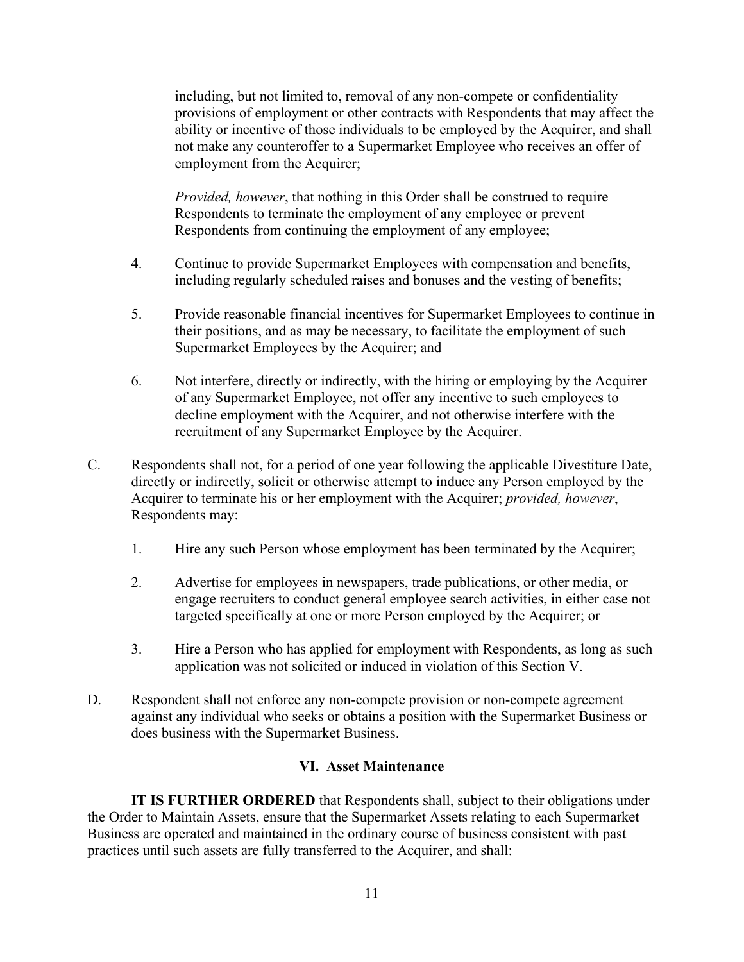including, but not limited to, removal of any non-compete or confidentiality provisions of employment or other contracts with Respondents that may affect the ability or incentive of those individuals to be employed by the Acquirer, and shall not make any counteroffer to a Supermarket Employee who receives an offer of employment from the Acquirer;

 *Provided, however*, that nothing in this Order shall be construed to require Respondents to terminate the employment of any employee or prevent Respondents from continuing the employment of any employee;

- including regularly scheduled raises and bonuses and the vesting of benefits; 4. Continue to provide Supermarket Employees with compensation and benefits,
- 5. Provide reasonable financial incentives for Supermarket Employees to continue in their positions, and as may be necessary, to facilitate the employment of such Supermarket Employees by the Acquirer; and
- 6. Not interfere, directly or indirectly, with the hiring or employing by the Acquirer decline employment with the Acquirer, and not otherwise interfere with the recruitment of any Supermarket Employee by the Acquirer. of any Supermarket Employee, not offer any incentive to such employees to
- Acquirer to terminate his or her employment with the Acquirer; *provided, however*, C. Respondents shall not, for a period of one year following the applicable Divestiture Date, directly or indirectly, solicit or otherwise attempt to induce any Person employed by the Respondents may:
	- 1. Hire any such Person whose employment has been terminated by the Acquirer;
	- 2. Advertise for employees in newspapers, trade publications, or other media, or engage recruiters to conduct general employee search activities, in either case not targeted specifically at one or more Person employed by the Acquirer; or
	- 3. Hire a Person who has applied for employment with Respondents, as long as such application was not solicited or induced in violation of this Section V.
- D. Respondent shall not enforce any non-compete provision or non-compete agreement against any individual who seeks or obtains a position with the Supermarket Business or does business with the Supermarket Business.

#### **VI. Asset Maintenance**

**IT IS FURTHER ORDERED** that Respondents shall, subject to their obligations under the Order to Maintain Assets, ensure that the Supermarket Assets relating to each Supermarket Business are operated and maintained in the ordinary course of business consistent with past practices until such assets are fully transferred to the Acquirer, and shall: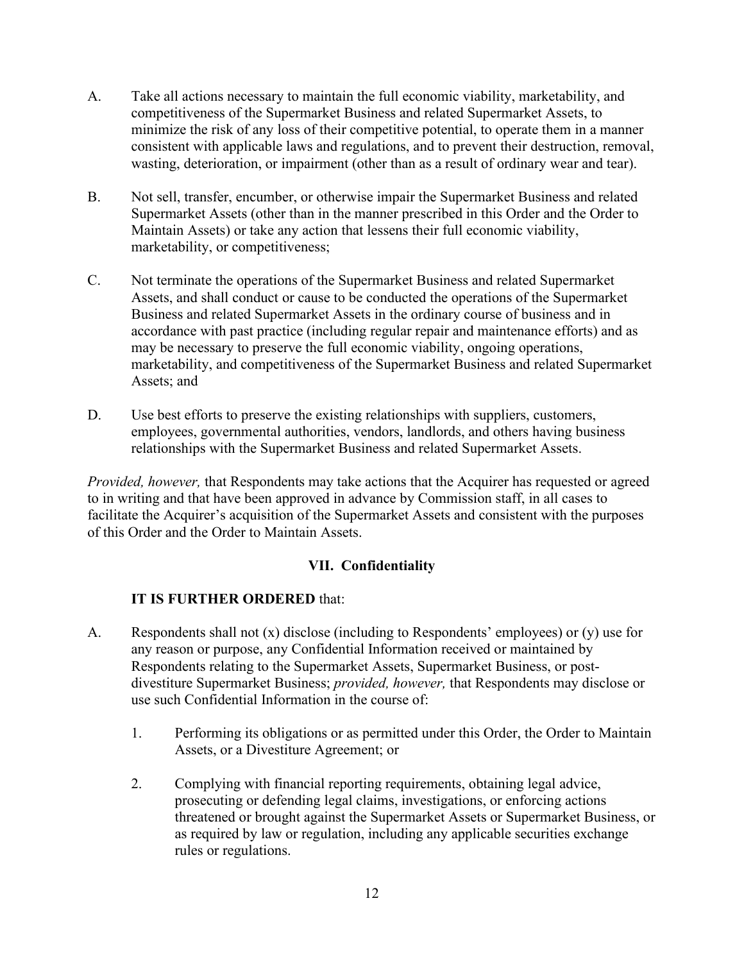- A. Take all actions necessary to maintain the full economic viability, marketability, and competitiveness of the Supermarket Business and related Supermarket Assets, to minimize the risk of any loss of their competitive potential, to operate them in a manner consistent with applicable laws and regulations, and to prevent their destruction, removal, wasting, deterioration, or impairment (other than as a result of ordinary wear and tear).
- marketability, or competitiveness; B. Not sell, transfer, encumber, or otherwise impair the Supermarket Business and related Supermarket Assets (other than in the manner prescribed in this Order and the Order to Maintain Assets) or take any action that lessens their full economic viability,
- marketability, or competitiveness;<br>C. Not terminate the operations of the Supermarket Business and related Supermarket Business and related Supermarket Assets in the ordinary course of business and in marketability, and competitiveness of the Supermarket Business and related Supermarket Assets; and Assets, and shall conduct or cause to be conducted the operations of the Supermarket accordance with past practice (including regular repair and maintenance efforts) and as may be necessary to preserve the full economic viability, ongoing operations,
- relationships with the Supermarket Business and related Supermarket Assets. D. Use best efforts to preserve the existing relationships with suppliers, customers, employees, governmental authorities, vendors, landlords, and others having business

 facilitate the Acquirer's acquisition of the Supermarket Assets and consistent with the purposes of this Order and the Order to Maintain Assets. *Provided, however,* that Respondents may take actions that the Acquirer has requested or agreed to in writing and that have been approved in advance by Commission staff, in all cases to

## **VII. Confidentiality**

- A. Respondents shall not (x) disclose (including to Respondents' employees) or (y) use for any reason or purpose, any Confidential Information received or maintained by Respondents relating to the Supermarket Assets, Supermarket Business, or postdivestiture Supermarket Business; *provided, however,* that Respondents may disclose or use such Confidential Information in the course of:
	- 1. Performing its obligations or as permitted under this Order, the Order to Maintain Assets, or a Divestiture Agreement; or
	- threatened or brought against the Supermarket Assets or Supermarket Business, or rules or regulations. 2. Complying with financial reporting requirements, obtaining legal advice, prosecuting or defending legal claims, investigations, or enforcing actions as required by law or regulation, including any applicable securities exchange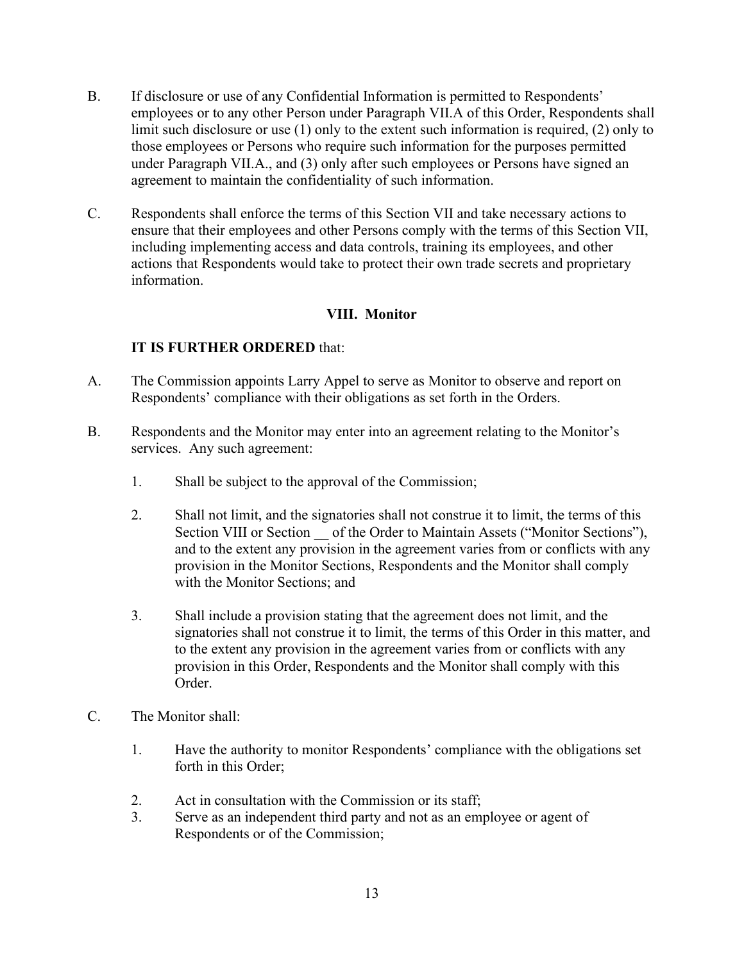- B. If disclosure or use of any Confidential Information is permitted to Respondents' employees or to any other Person under Paragraph VII.A of this Order, Respondents shall limit such disclosure or use (1) only to the extent such information is required, (2) only to those employees or Persons who require such information for the purposes permitted under Paragraph VII.A., and (3) only after such employees or Persons have signed an agreement to maintain the confidentiality of such information.
- C. Respondents shall enforce the terms of this Section VII and take necessary actions to ensure that their employees and other Persons comply with the terms of this Section VII, including implementing access and data controls, training its employees, and other actions that Respondents would take to protect their own trade secrets and proprietary information.

## **VIII. Monitor**

- A. The Commission appoints Larry Appel to serve as Monitor to observe and report on Respondents' compliance with their obligations as set forth in the Orders.
- B. Respondents and the Monitor may enter into an agreement relating to the Monitor's services. Any such agreement:
	- 1. Shall be subject to the approval of the Commission;
	- Section VIII or Section \_\_ of the Order to Maintain Assets ("Monitor Sections"), 2. Shall not limit, and the signatories shall not construe it to limit, the terms of this and to the extent any provision in the agreement varies from or conflicts with any provision in the Monitor Sections, Respondents and the Monitor shall comply with the Monitor Sections; and
	- to the extent any provision in the agreement varies from or conflicts with any 3. Shall include a provision stating that the agreement does not limit, and the signatories shall not construe it to limit, the terms of this Order in this matter, and provision in this Order, Respondents and the Monitor shall comply with this Order.
- C. The Monitor shall:
	- 1. Have the authority to monitor Respondents' compliance with the obligations set forth in this Order;
	- Act in consultation with the Commission or its staff;
	- 2. Act in consultation with the Commission or its staff;<br>3. Serve as an independent third party and not as an employee or agent of Respondents or of the Commission;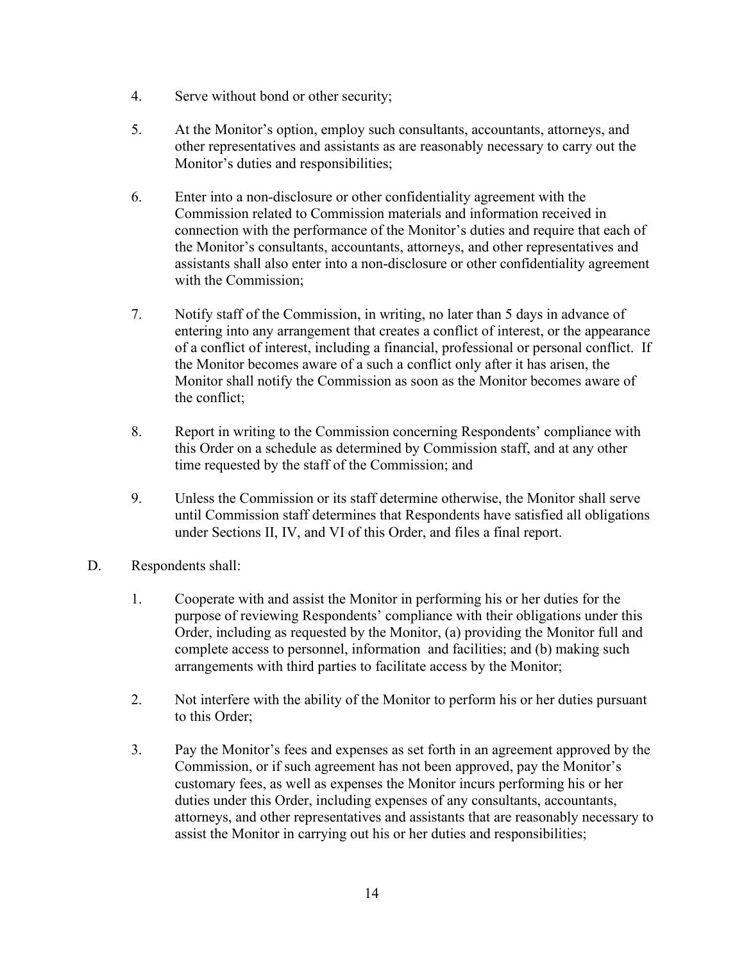- 4. Serve without bond or other security;
- 5. At the Monitor's option, employ such consultants, accountants, attorneys, and other representatives and assistants as are reasonably necessary to carry out the Monitor's duties and responsibilities;
- connection with the performance of the Monitor's duties and require that each of 6. Enter into a non-disclosure or other confidentiality agreement with the Commission related to Commission materials and information received in the Monitor's consultants, accountants, attorneys, and other representatives and assistants shall also enter into a non-disclosure or other confidentiality agreement with the Commission;
- 7. Notify staff of the Commission, in writing, no later than 5 days in advance of the Monitor becomes aware of a such a conflict only after it has arisen, the Monitor shall notify the Commission as soon as the Monitor becomes aware of entering into any arrangement that creates a conflict of interest, or the appearance of a conflict of interest, including a financial, professional or personal conflict. If the conflict;
- 8. Report in writing to the Commission concerning Respondents' compliance with this Order on a schedule as determined by Commission staff, and at any other time requested by the staff of the Commission; and
- under Sections II, IV, and VI of this Order, and files a final report. 9. Unless the Commission or its staff determine otherwise, the Monitor shall serve until Commission staff determines that Respondents have satisfied all obligations
- Respondents shall:
- Order, including as requested by the Monitor, (a) providing the Monitor full and D. Respondents shall:<br>1. Cooperate with and assist the Monitor in performing his or her duties for the purpose of reviewing Respondents' compliance with their obligations under this complete access to personnel, information and facilities; and (b) making such arrangements with third parties to facilitate access by the Monitor;
	- 2. Not interfere with the ability of the Monitor to perform his or her duties pursuant to this Order;
	- 3. Pay the Monitor's fees and expenses as set forth in an agreement approved by the Commission, or if such agreement has not been approved, pay the Monitor's customary fees, as well as expenses the Monitor incurs performing his or her duties under this Order, including expenses of any consultants, accountants, attorneys, and other representatives and assistants that are reasonably necessary to assist the Monitor in carrying out his or her duties and responsibilities;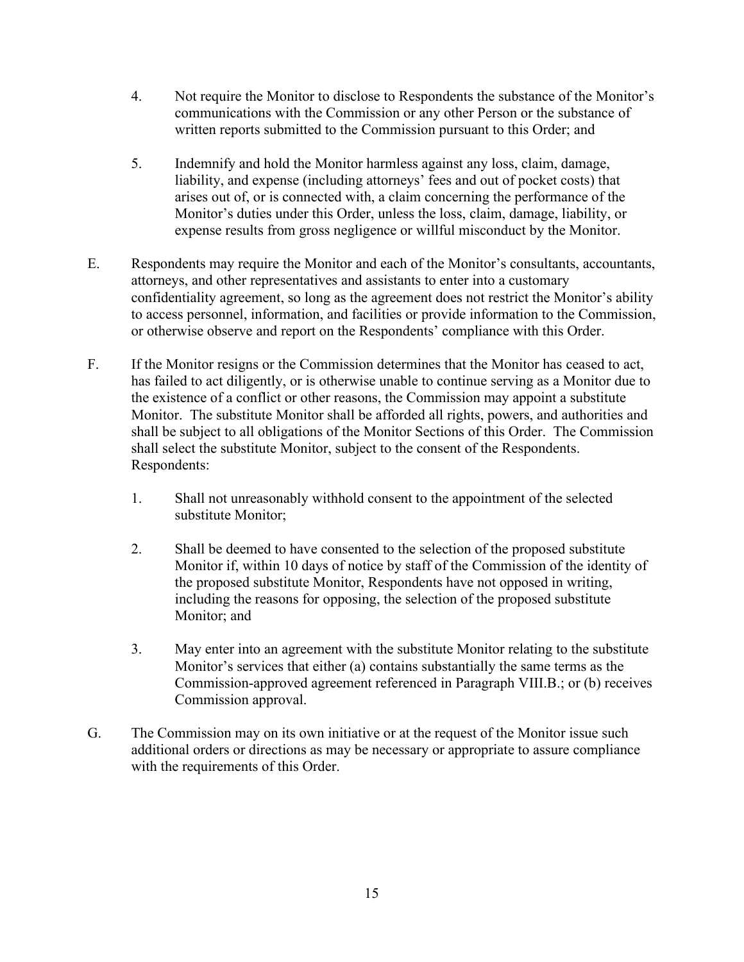- 4. Not require the Monitor to disclose to Respondents the substance of the Monitor's communications with the Commission or any other Person or the substance of written reports submitted to the Commission pursuant to this Order; and
- liability, and expense (including attorneys' fees and out of pocket costs) that Monitor's duties under this Order, unless the loss, claim, damage, liability, or expense results from gross negligence or willful misconduct by the Monitor. 5. Indemnify and hold the Monitor harmless against any loss, claim, damage, arises out of, or is connected with, a claim concerning the performance of the
- attorneys, and other representatives and assistants to enter into a customary E. Respondents may require the Monitor and each of the Monitor's consultants, accountants, confidentiality agreement, so long as the agreement does not restrict the Monitor's ability to access personnel, information, and facilities or provide information to the Commission, or otherwise observe and report on the Respondents' compliance with this Order.
- F. If the Monitor resigns or the Commission determines that the Monitor has ceased to act, has failed to act diligently, or is otherwise unable to continue serving as a Monitor due to the existence of a conflict or other reasons, the Commission may appoint a substitute Monitor. The substitute Monitor shall be afforded all rights, powers, and authorities and shall be subject to all obligations of the Monitor Sections of this Order. The Commission shall select the substitute Monitor, subject to the consent of the Respondents. Respondents:
	- 1. Shall not unreasonably withhold consent to the appointment of the selected substitute Monitor;
	- 2. Shall be deemed to have consented to the selection of the proposed substitute Monitor if, within 10 days of notice by staff of the Commission of the identity of the proposed substitute Monitor, Respondents have not opposed in writing, including the reasons for opposing, the selection of the proposed substitute Monitor; and
	- 3. May enter into an agreement with the substitute Monitor relating to the substitute Monitor's services that either (a) contains substantially the same terms as the Commission-approved agreement referenced in Paragraph VIII.B.; or (b) receives Commission approval.
- with the requirements of this Order. G. The Commission may on its own initiative or at the request of the Monitor issue such additional orders or directions as may be necessary or appropriate to assure compliance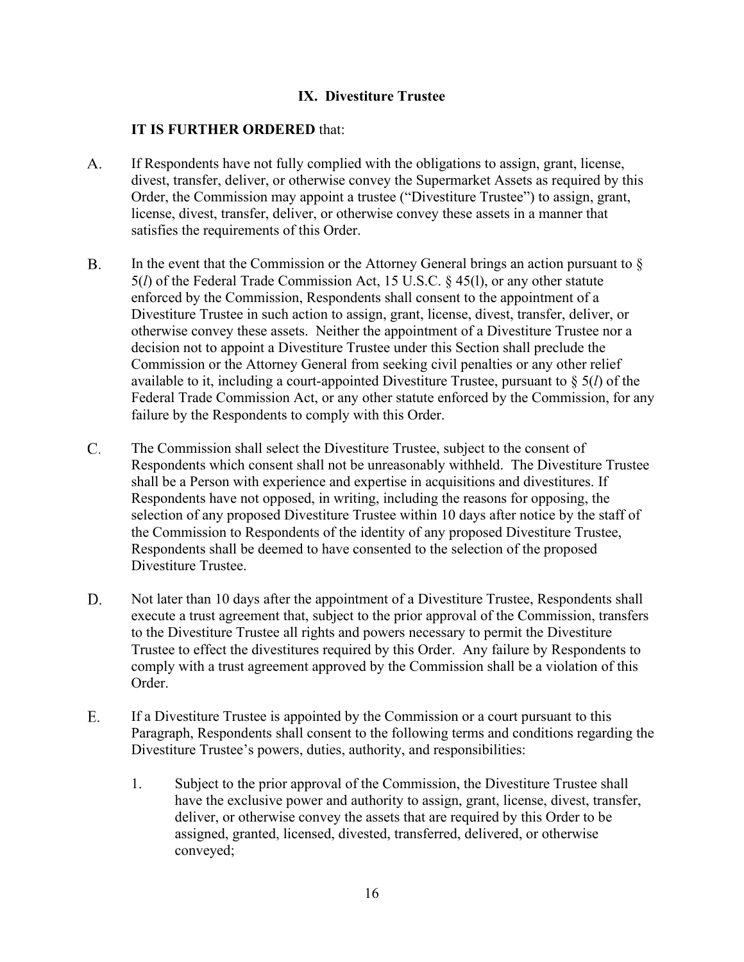## **IX. Divestiture Trustee**

- A. If Respondents have not fully complied with the obligations to assign, grant, license, divest, transfer, deliver, or otherwise convey the Supermarket Assets as required by this Order, the Commission may appoint a trustee ("Divestiture Trustee") to assign, grant, license, divest, transfer, deliver, or otherwise convey these assets in a manner that satisfies the requirements of this Order.
- B. In the event that the Commission or the Attorney General brings an action pursuant to  $\S$ 5(*l*) of the Federal Trade Commission Act, 15 U.S.C. § 45(l), or any other statute enforced by the Commission, Respondents shall consent to the appointment of a Divestiture Trustee in such action to assign, grant, license, divest, transfer, deliver, or otherwise convey these assets. Neither the appointment of a Divestiture Trustee nor a decision not to appoint a Divestiture Trustee under this Section shall preclude the Commission or the Attorney General from seeking civil penalties or any other relief available to it, including a court-appointed Divestiture Trustee, pursuant to § 5(*l*) of the Federal Trade Commission Act, or any other statute enforced by the Commission, for any failure by the Respondents to comply with this Order.
- C. The Commission shall select the Divestiture Trustee, subject to the consent of Respondents which consent shall not be unreasonably withheld. The Divestiture Trustee shall be a Person with experience and expertise in acquisitions and divestitures. If Respondents have not opposed, in writing, including the reasons for opposing, the selection of any proposed Divestiture Trustee within 10 days after notice by the staff of the Commission to Respondents of the identity of any proposed Divestiture Trustee, Respondents shall be deemed to have consented to the selection of the proposed Divestiture Trustee.
- Not later than 10 days after the appointment of a Divestiture Trustee, Respondents shall D. execute a trust agreement that, subject to the prior approval of the Commission, transfers to the Divestiture Trustee all rights and powers necessary to permit the Divestiture Trustee to effect the divestitures required by this Order. Any failure by Respondents to comply with a trust agreement approved by the Commission shall be a violation of this Order.
- If a Divestiture Trustee is appointed by the Commission or a court pursuant to this E. Paragraph, Respondents shall consent to the following terms and conditions regarding the Divestiture Trustee's powers, duties, authority, and responsibilities:
	- 1. Subject to the prior approval of the Commission, the Divestiture Trustee shall have the exclusive power and authority to assign, grant, license, divest, transfer, deliver, or otherwise convey the assets that are required by this Order to be assigned, granted, licensed, divested, transferred, delivered, or otherwise conveyed;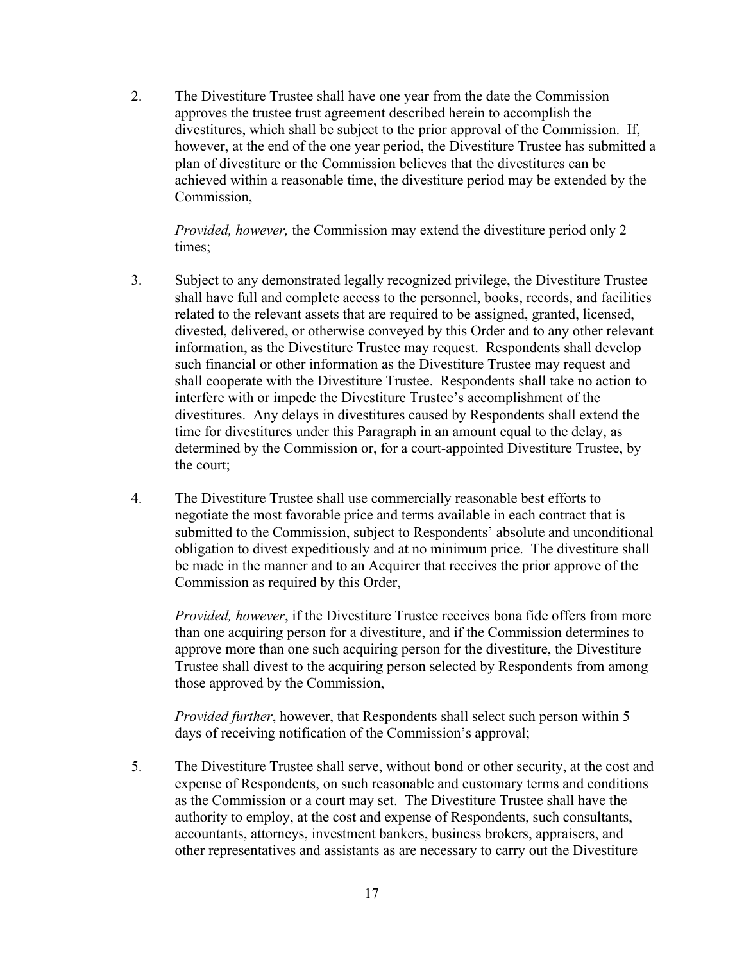2. The Divestiture Trustee shall have one year from the date the Commission approves the trustee trust agreement described herein to accomplish the divestitures, which shall be subject to the prior approval of the Commission. If, however, at the end of the one year period, the Divestiture Trustee has submitted a plan of divestiture or the Commission believes that the divestitures can be achieved within a reasonable time, the divestiture period may be extended by the Commission,

*Provided, however,* the Commission may extend the divestiture period only 2 times;

- divested, delivered, or otherwise conveyed by this Order and to any other relevant 3. Subject to any demonstrated legally recognized privilege, the Divestiture Trustee shall have full and complete access to the personnel, books, records, and facilities related to the relevant assets that are required to be assigned, granted, licensed, information, as the Divestiture Trustee may request. Respondents shall develop such financial or other information as the Divestiture Trustee may request and shall cooperate with the Divestiture Trustee. Respondents shall take no action to interfere with or impede the Divestiture Trustee's accomplishment of the divestitures. Any delays in divestitures caused by Respondents shall extend the time for divestitures under this Paragraph in an amount equal to the delay, as determined by the Commission or, for a court-appointed Divestiture Trustee, by the court;
- be made in the manner and to an Acquirer that receives the prior approve of the 4. The Divestiture Trustee shall use commercially reasonable best efforts to negotiate the most favorable price and terms available in each contract that is submitted to the Commission, subject to Respondents' absolute and unconditional obligation to divest expeditiously and at no minimum price. The divestiture shall Commission as required by this Order,

*Provided, however*, if the Divestiture Trustee receives bona fide offers from more than one acquiring person for a divestiture, and if the Commission determines to approve more than one such acquiring person for the divestiture, the Divestiture Trustee shall divest to the acquiring person selected by Respondents from among those approved by the Commission,

*Provided further*, however, that Respondents shall select such person within 5 days of receiving notification of the Commission's approval;

5. The Divestiture Trustee shall serve, without bond or other security, at the cost and expense of Respondents, on such reasonable and customary terms and conditions as the Commission or a court may set. The Divestiture Trustee shall have the authority to employ, at the cost and expense of Respondents, such consultants, accountants, attorneys, investment bankers, business brokers, appraisers, and other representatives and assistants as are necessary to carry out the Divestiture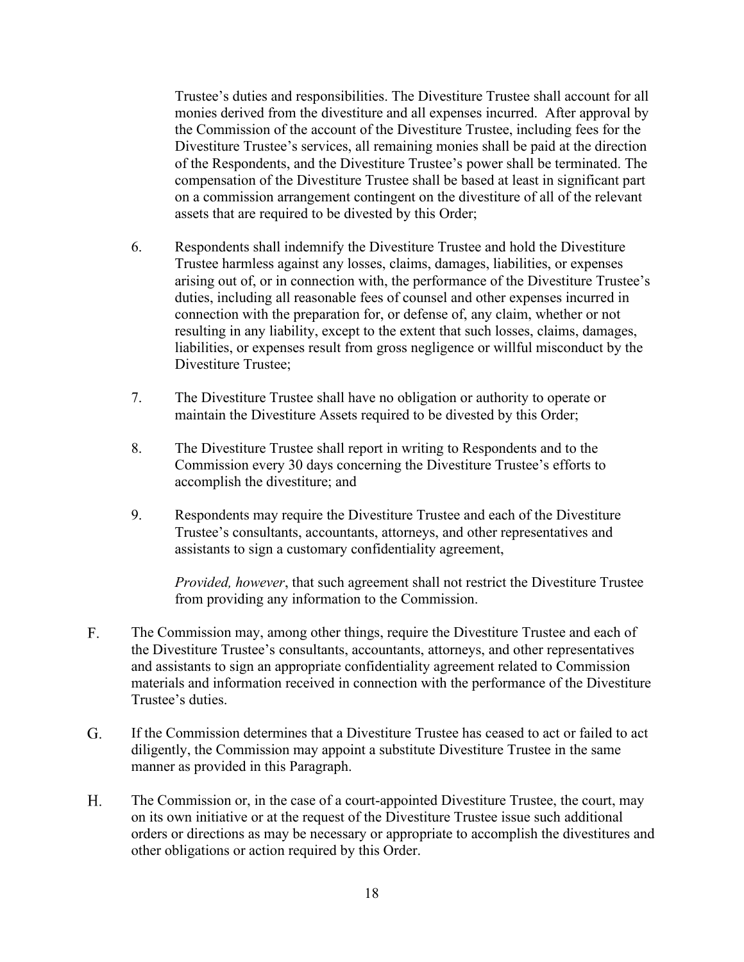of the Respondents, and the Divestiture Trustee's power shall be terminated. The Trustee's duties and responsibilities. The Divestiture Trustee shall account for all monies derived from the divestiture and all expenses incurred. After approval by the Commission of the account of the Divestiture Trustee, including fees for the Divestiture Trustee's services, all remaining monies shall be paid at the direction compensation of the Divestiture Trustee shall be based at least in significant part on a commission arrangement contingent on the divestiture of all of the relevant assets that are required to be divested by this Order;

- 6. Respondents shall indemnify the Divestiture Trustee and hold the Divestiture Trustee harmless against any losses, claims, damages, liabilities, or expenses arising out of, or in connection with, the performance of the Divestiture Trustee's duties, including all reasonable fees of counsel and other expenses incurred in connection with the preparation for, or defense of, any claim, whether or not resulting in any liability, except to the extent that such losses, claims, damages, liabilities, or expenses result from gross negligence or willful misconduct by the Divestiture Trustee;
- 7. The Divestiture Trustee shall have no obligation or authority to operate or maintain the Divestiture Assets required to be divested by this Order;
- accomplish the divestiture; and 8. The Divestiture Trustee shall report in writing to Respondents and to the Commission every 30 days concerning the Divestiture Trustee's efforts to
- Trustee's consultants, accountants, attorneys, and other representatives and 9. Respondents may require the Divestiture Trustee and each of the Divestiture assistants to sign a customary confidentiality agreement,

*Provided, however*, that such agreement shall not restrict the Divestiture Trustee from providing any information to the Commission.

- The Commission may, among other things, require the Divestiture Trustee and each of F. the Divestiture Trustee's consultants, accountants, attorneys, and other representatives and assistants to sign an appropriate confidentiality agreement related to Commission materials and information received in connection with the performance of the Divestiture Trustee's duties.
- If the Commission determines that a Divestiture Trustee has ceased to act or failed to act G. diligently, the Commission may appoint a substitute Divestiture Trustee in the same manner as provided in this Paragraph.
- H. The Commission or, in the case of a court-appointed Divestiture Trustee, the court, may on its own initiative or at the request of the Divestiture Trustee issue such additional orders or directions as may be necessary or appropriate to accomplish the divestitures and other obligations or action required by this Order.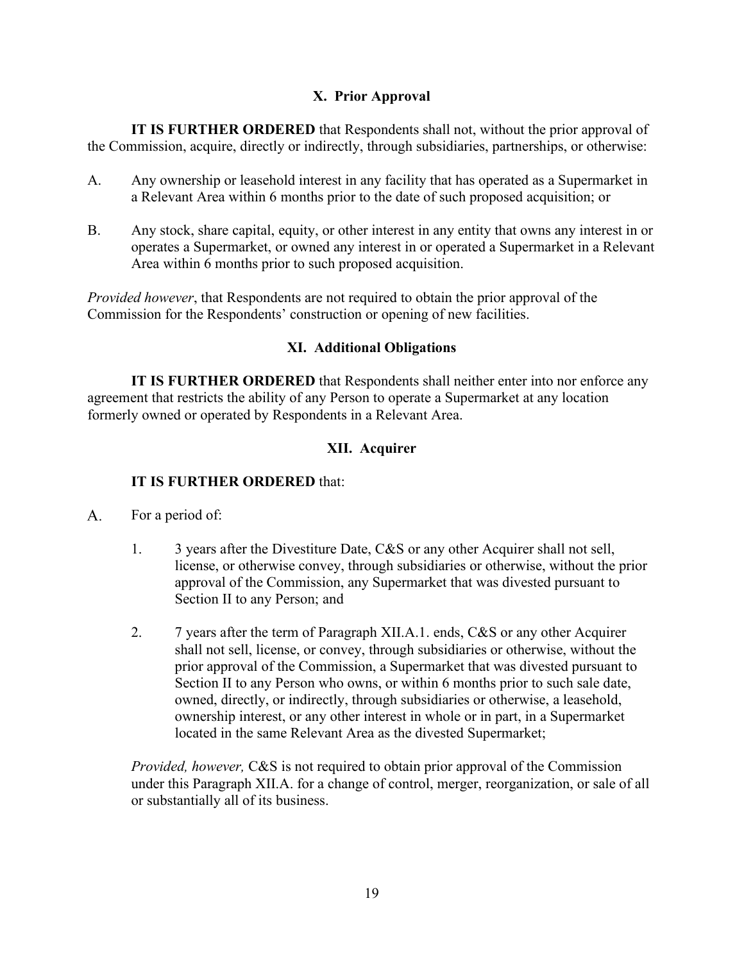## **X. Prior Approval**

**IT IS FURTHER ORDERED** that Respondents shall not, without the prior approval of the Commission, acquire, directly or indirectly, through subsidiaries, partnerships, or otherwise:

- A. Any ownership or leasehold interest in any facility that has operated as a Supermarket in a Relevant Area within 6 months prior to the date of such proposed acquisition; or
- B. Any stock, share capital, equity, or other interest in any entity that owns any interest in or operates a Supermarket, or owned any interest in or operated a Supermarket in a Relevant Area within 6 months prior to such proposed acquisition.

*Provided however*, that Respondents are not required to obtain the prior approval of the Commission for the Respondents' construction or opening of new facilities.

## **XI. Additional Obligations**

**IT IS FURTHER ORDERED** that Respondents shall neither enter into nor enforce any agreement that restricts the ability of any Person to operate a Supermarket at any location formerly owned or operated by Respondents in a Relevant Area.

# **XII. Acquirer**

## **IT IS FURTHER ORDERED** that:

- A. For a period of:
	- Section II to any Person; and 1. 3 years after the Divestiture Date, C&S or any other Acquirer shall not sell, license, or otherwise convey, through subsidiaries or otherwise, without the prior approval of the Commission, any Supermarket that was divested pursuant to
	- 2. 7 years after the term of Paragraph XII.A.1. ends, C&S or any other Acquirer located in the same Relevant Area as the divested Supermarket; shall not sell, license, or convey, through subsidiaries or otherwise, without the prior approval of the Commission, a Supermarket that was divested pursuant to Section II to any Person who owns, or within 6 months prior to such sale date, owned, directly, or indirectly, through subsidiaries or otherwise, a leasehold, ownership interest, or any other interest in whole or in part, in a Supermarket

*Provided, however,* C&S is not required to obtain prior approval of the Commission under this Paragraph XII.A. for a change of control, merger, reorganization, or sale of all or substantially all of its business.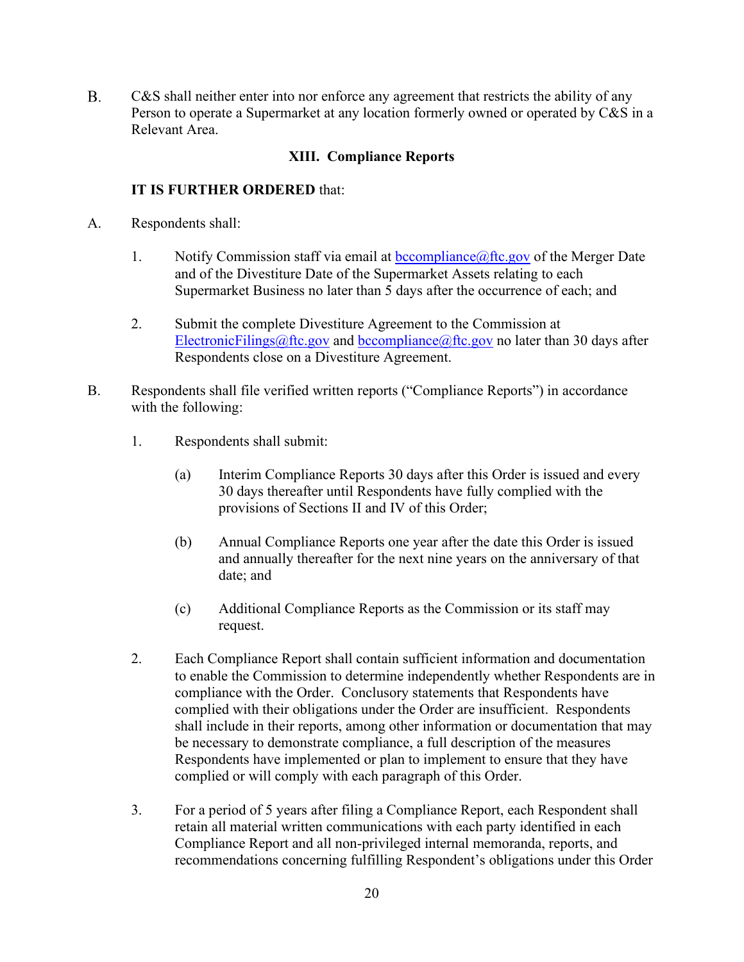B. C&S shall neither enter into nor enforce any agreement that restricts the ability of any Person to operate a Supermarket at any location formerly owned or operated by C&S in a Relevant Area.

#### **XIII. Compliance Reports**

- A. Respondents shall:
	- 1. Notify Commission staff via email at **bccompliance**@ftc.gov of the Merger Date and of the Divestiture Date of the Supermarket Assets relating to each Supermarket Business no later than 5 days after the occurrence of each; and
	- 2. Submit the complete Divestiture Agreement to the Commission at [ElectronicFilings@ftc.gov](mailto:ElectronicFilings@ftc.gov) and [bccompliance@ftc.gov](mailto:bccompliance@ftc.gov) no later than 30 days after Respondents close on a Divestiture Agreement.
- B. Respondents shall file verified written reports ("Compliance Reports") in accordance with the following:
	- 1. Respondents shall submit:
		- (a) Interim Compliance Reports 30 days after this Order is issued and every 30 days thereafter until Respondents have fully complied with the provisions of Sections II and IV of this Order;
		- (b) Annual Compliance Reports one year after the date this Order is issued and annually thereafter for the next nine years on the anniversary of that date; and
		- (c) Additional Compliance Reports as the Commission or its staff may request.
	- compliance with the Order. Conclusory statements that Respondents have 2. Each Compliance Report shall contain sufficient information and documentation to enable the Commission to determine independently whether Respondents are in complied with their obligations under the Order are insufficient. Respondents shall include in their reports, among other information or documentation that may be necessary to demonstrate compliance, a full description of the measures Respondents have implemented or plan to implement to ensure that they have complied or will comply with each paragraph of this Order.
	- 3. For a period of 5 years after filing a Compliance Report, each Respondent shall retain all material written communications with each party identified in each Compliance Report and all non-privileged internal memoranda, reports, and recommendations concerning fulfilling Respondent's obligations under this Order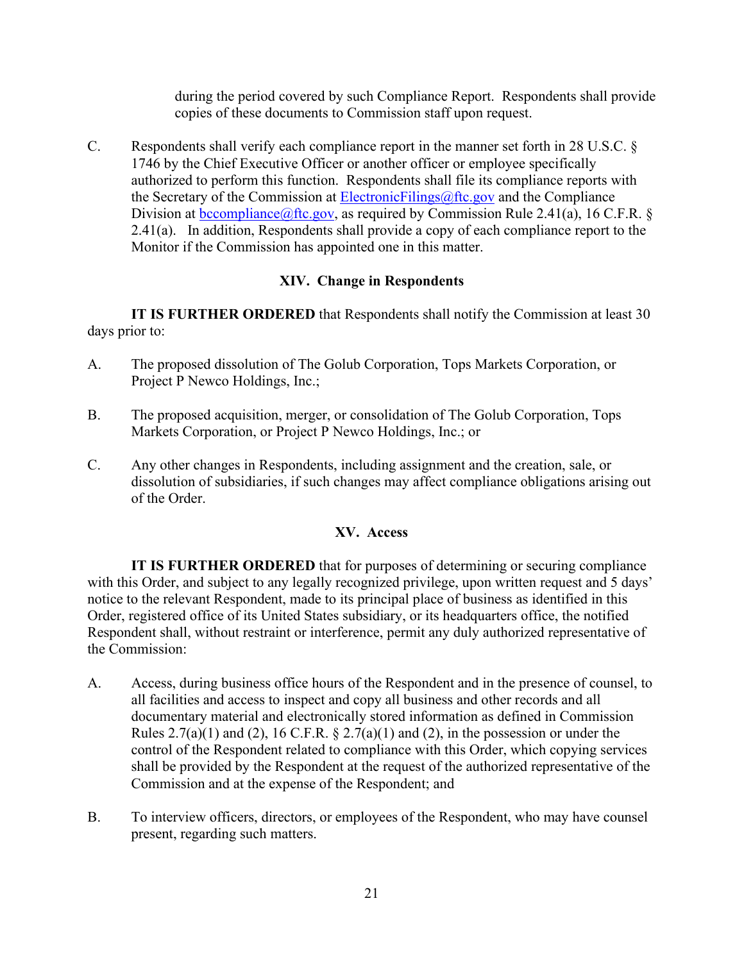during the period covered by such Compliance Report. Respondents shall provide copies of these documents to Commission staff upon request.

 2.41(a). In addition, Respondents shall provide a copy of each compliance report to the C. Respondents shall verify each compliance report in the manner set forth in 28 U.S.C. § 1746 by the Chief Executive Officer or another officer or employee specifically authorized to perform this function. Respondents shall file its compliance reports with the Secretary of the Commission at [ElectronicFilings@ftc.gov](mailto:ElectronicFilings@ftc.gov) and the Compliance Division at bccompliance  $@$ ftc.gov, as required by Commission Rule 2.41(a), 16 C.F.R. § Monitor if the Commission has appointed one in this matter.

## **XIV. Change in Respondents**

**IT IS FURTHER ORDERED** that Respondents shall notify the Commission at least 30 days prior to:

- A. The proposed dissolution of The Golub Corporation, Tops Markets Corporation, or Project P Newco Holdings, Inc.;
- B. The proposed acquisition, merger, or consolidation of The Golub Corporation, Tops Markets Corporation, or Project P Newco Holdings, Inc.; or
- C. Any other changes in Respondents, including assignment and the creation, sale, or dissolution of subsidiaries, if such changes may affect compliance obligations arising out of the Order.

# **XV. Access**

 with this Order, and subject to any legally recognized privilege, upon written request and 5 days' **IT IS FURTHER ORDERED** that for purposes of determining or securing compliance notice to the relevant Respondent, made to its principal place of business as identified in this Order, registered office of its United States subsidiary, or its headquarters office, the notified Respondent shall, without restraint or interference, permit any duly authorized representative of the Commission:

- documentary material and electronically stored information as defined in Commission A. Access, during business office hours of the Respondent and in the presence of counsel, to all facilities and access to inspect and copy all business and other records and all Rules  $2.7(a)(1)$  and (2), 16 C.F.R. §  $2.7(a)(1)$  and (2), in the possession or under the control of the Respondent related to compliance with this Order, which copying services shall be provided by the Respondent at the request of the authorized representative of the Commission and at the expense of the Respondent; and
- B. To interview officers, directors, or employees of the Respondent, who may have counsel present, regarding such matters.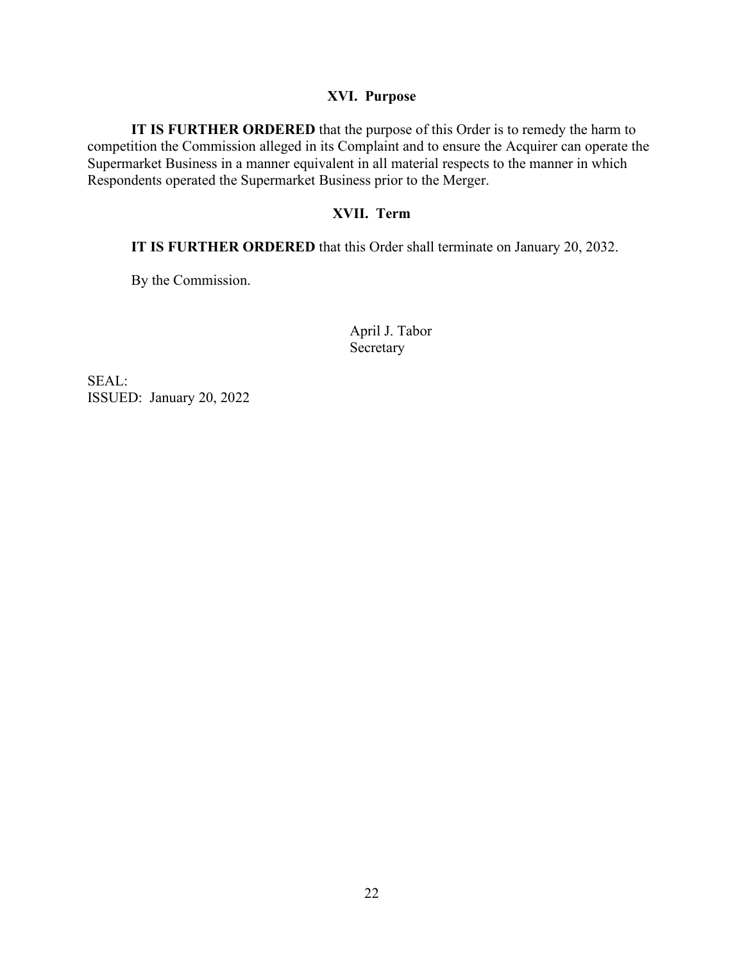#### **XVI. Purpose**

 Respondents operated the Supermarket Business prior to the Merger. **IT IS FURTHER ORDERED** that the purpose of this Order is to remedy the harm to competition the Commission alleged in its Complaint and to ensure the Acquirer can operate the Supermarket Business in a manner equivalent in all material respects to the manner in which

#### **XVII. Term**

**IT IS FURTHER ORDERED** that this Order shall terminate on January 20, 2032.

By the Commission.

April J. Tabor Secretary

 ISSUED: January 20, 2022 SEAL: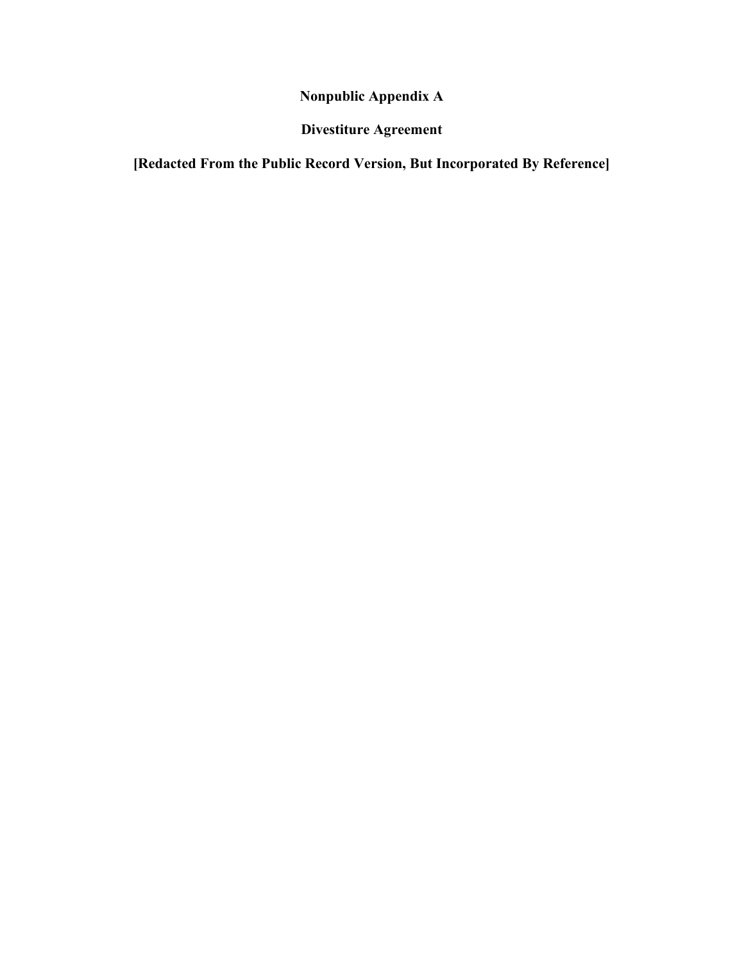**Nonpublic Appendix A** 

**Divestiture Agreement** 

**[Redacted From the Public Record Version, But Incorporated By Reference]**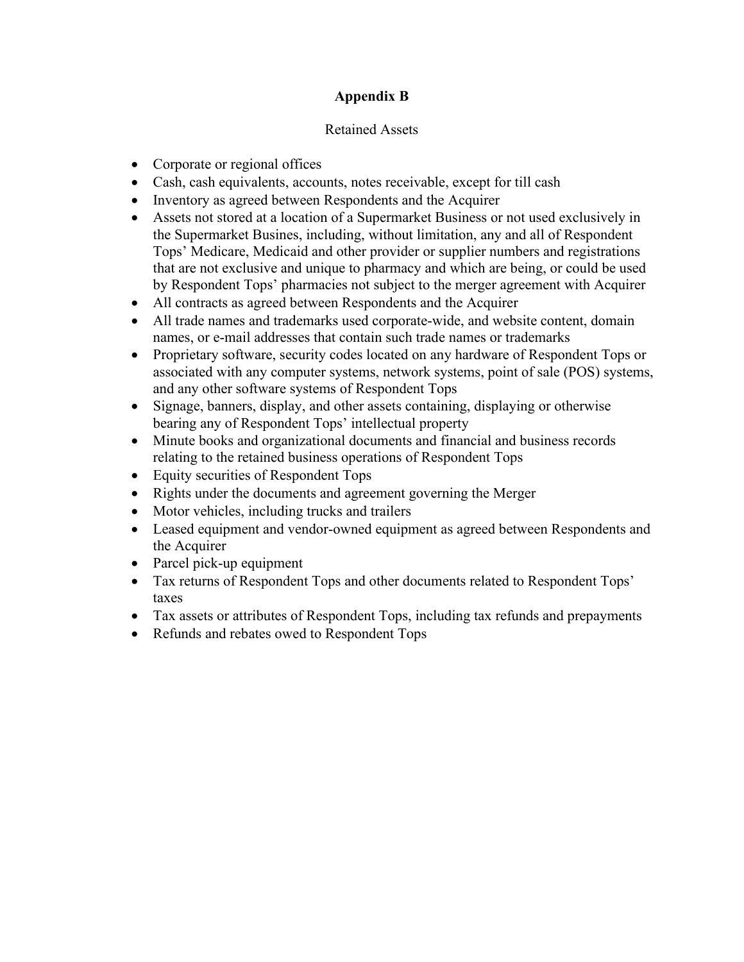# **Appendix B**

## Retained Assets

- Corporate or regional offices
- Cash, cash equivalents, accounts, notes receivable, except for till cash
- Inventory as agreed between Respondents and the Acquirer
- the Supermarket Busines, including, without limitation, any and all of Respondent • Assets not stored at a location of a Supermarket Business or not used exclusively in Tops' Medicare, Medicaid and other provider or supplier numbers and registrations that are not exclusive and unique to pharmacy and which are being, or could be used by Respondent Tops' pharmacies not subject to the merger agreement with Acquirer
- All contracts as agreed between Respondents and the Acquirer
- names, or e-mail addresses that contain such trade names or trademarks • All trade names and trademarks used corporate-wide, and website content, domain
- • Proprietary software, security codes located on any hardware of Respondent Tops or and any other software systems of Respondent Tops associated with any computer systems, network systems, point of sale (POS) systems,
- bearing any of Respondent Tops' intellectual property • Signage, banners, display, and other assets containing, displaying or otherwise
- relating to the retained business operations of Respondent Tops • Minute books and organizational documents and financial and business records
- Equity securities of Respondent Tops
- Rights under the documents and agreement governing the Merger
- Motor vehicles, including trucks and trailers
- Leased equipment and vendor-owned equipment as agreed between Respondents and the Acquirer
- Parcel pick-up equipment
- • Tax returns of Respondent Tops and other documents related to Respondent Tops' taxes
- Tax assets or attributes of Respondent Tops, including tax refunds and prepayments
- Refunds and rebates owed to Respondent Tops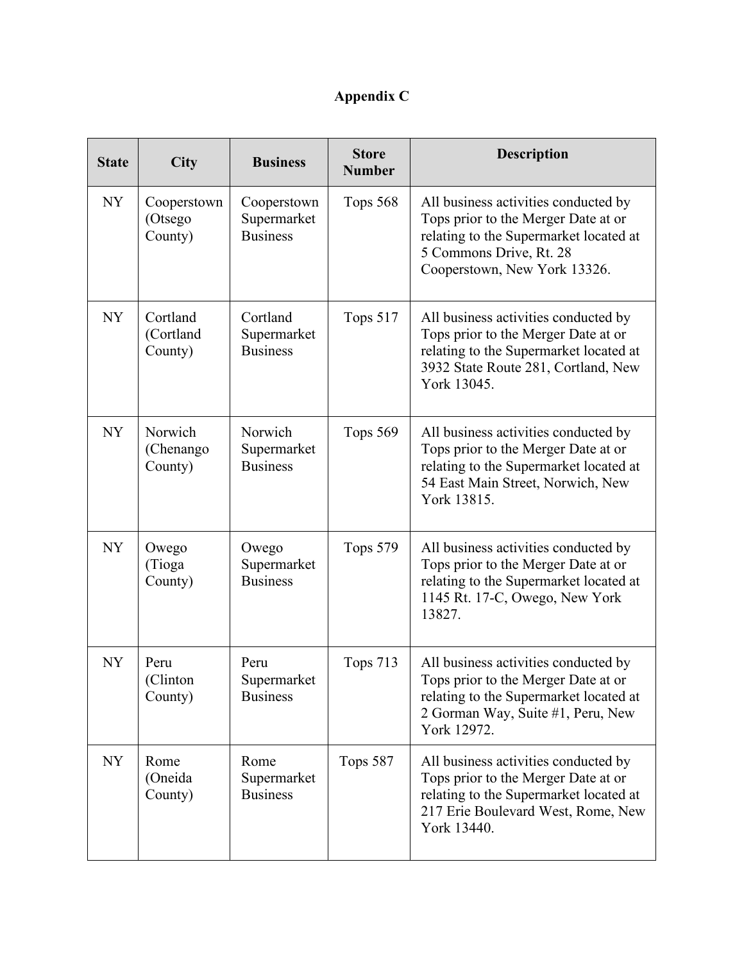# **Appendix C**

| <b>State</b> | <b>City</b>                       | <b>Business</b>                               | <b>Store</b><br><b>Number</b> | <b>Description</b>                                                                                                                                                               |
|--------------|-----------------------------------|-----------------------------------------------|-------------------------------|----------------------------------------------------------------------------------------------------------------------------------------------------------------------------------|
| <b>NY</b>    | Cooperstown<br>(Otsego<br>County) | Cooperstown<br>Supermarket<br><b>Business</b> | Tops 568                      | All business activities conducted by<br>Tops prior to the Merger Date at or<br>relating to the Supermarket located at<br>5 Commons Drive, Rt. 28<br>Cooperstown, New York 13326. |
| <b>NY</b>    | Cortland<br>(Cortland<br>County)  | Cortland<br>Supermarket<br><b>Business</b>    | Tops 517                      | All business activities conducted by<br>Tops prior to the Merger Date at or<br>relating to the Supermarket located at<br>3932 State Route 281, Cortland, New<br>York 13045.      |
| <b>NY</b>    | Norwich<br>(Chenango<br>County)   | Norwich<br>Supermarket<br><b>Business</b>     | Tops 569                      | All business activities conducted by<br>Tops prior to the Merger Date at or<br>relating to the Supermarket located at<br>54 East Main Street, Norwich, New<br>York 13815.        |
| <b>NY</b>    | Owego<br>(Tioga<br>County)        | Owego<br>Supermarket<br><b>Business</b>       | Tops 579                      | All business activities conducted by<br>Tops prior to the Merger Date at or<br>relating to the Supermarket located at<br>1145 Rt. 17-C, Owego, New York<br>13827.                |
| <b>NY</b>    | Peru<br>(Clinton<br>County)       | Peru<br>Supermarket<br><b>Business</b>        | <b>Tops 713</b>               | All business activities conducted by<br>Tops prior to the Merger Date at or<br>relating to the Supermarket located at<br>2 Gorman Way, Suite #1, Peru, New<br>York 12972.        |
| <b>NY</b>    | Rome<br>(Oneida<br>County)        | Rome<br>Supermarket<br><b>Business</b>        | Tops 587                      | All business activities conducted by<br>Tops prior to the Merger Date at or<br>relating to the Supermarket located at<br>217 Erie Boulevard West, Rome, New<br>York 13440.       |